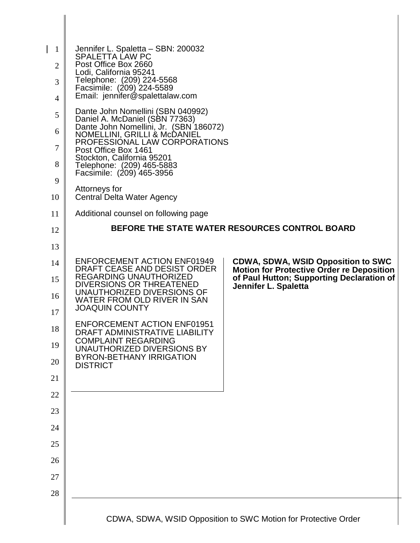| 1<br>$\overline{2}$<br>3<br>4<br>5<br>6<br>7<br>8<br>9 | Jennifer L. Spaletta - SBN: 200032<br><b>SPALETTA LAW PC</b><br>Post Office Box 2660<br>Lodi, California 95241<br>Telephone: (209) 224-5568<br>Facsimile: (209) 224-5589<br>Email: jennifer@spalettalaw.com<br>Dante John Nomellini (SBN 040992)<br>Daniel A. McDaniel (SBN 77363)<br>Dante John Nomellini, Jr. (SBN 186072)<br>NOMELLINI, GRILLI & McDANIEL<br>PROFESSIONAL LAW CORPORATIONS<br>Post Office Box 1461<br>Stockton, California 95201<br>Telephone: (209) 465-5883<br>Facsimile: (209) 465-3956 |                                                                                                                                                                    |
|--------------------------------------------------------|---------------------------------------------------------------------------------------------------------------------------------------------------------------------------------------------------------------------------------------------------------------------------------------------------------------------------------------------------------------------------------------------------------------------------------------------------------------------------------------------------------------|--------------------------------------------------------------------------------------------------------------------------------------------------------------------|
| 10                                                     | Attorneys for<br>Central Delta Water Agency                                                                                                                                                                                                                                                                                                                                                                                                                                                                   |                                                                                                                                                                    |
| 11                                                     | Additional counsel on following page                                                                                                                                                                                                                                                                                                                                                                                                                                                                          |                                                                                                                                                                    |
| 12                                                     |                                                                                                                                                                                                                                                                                                                                                                                                                                                                                                               | <b>BEFORE THE STATE WATER RESOURCES CONTROL BOARD</b>                                                                                                              |
| 13                                                     |                                                                                                                                                                                                                                                                                                                                                                                                                                                                                                               |                                                                                                                                                                    |
| 14<br>15<br>16<br>17                                   | <b>ENFORCEMENT ACTION ENF01949</b><br>DRAFT CEASE AND DESIST ORDER<br>REGARDING UNAUTHORIZED<br>DIVERSIONS OR THREATENED<br>UNAUTHORIZED DIVERSIONS OF<br>WATER FROM OLD RIVER IN SAN<br><b>JOAQUIN COUNTY</b><br><b>ENFORCEMENT ACTION ENF01951</b>                                                                                                                                                                                                                                                          | <b>CDWA, SDWA, WSID Opposition to SWC</b><br><b>Motion for Protective Order re Deposition</b><br>of Paul Hutton; Supporting Declaration of<br>Jennifer L. Spaletta |
| 18<br>19<br>20<br>21                                   | DRAFT ADMINISTRATIVE LIABILITY<br><b>COMPLAINT REGARDING</b><br>UNAUTHORIZED DIVERSIONS BY<br><b>BYRON-BETHANY IRRIGATION</b><br><b>DISTRICT</b>                                                                                                                                                                                                                                                                                                                                                              |                                                                                                                                                                    |
| 22                                                     |                                                                                                                                                                                                                                                                                                                                                                                                                                                                                                               |                                                                                                                                                                    |
| 23                                                     |                                                                                                                                                                                                                                                                                                                                                                                                                                                                                                               |                                                                                                                                                                    |
| 24                                                     |                                                                                                                                                                                                                                                                                                                                                                                                                                                                                                               |                                                                                                                                                                    |
| 25                                                     |                                                                                                                                                                                                                                                                                                                                                                                                                                                                                                               |                                                                                                                                                                    |
| 26                                                     |                                                                                                                                                                                                                                                                                                                                                                                                                                                                                                               |                                                                                                                                                                    |
| 27                                                     |                                                                                                                                                                                                                                                                                                                                                                                                                                                                                                               |                                                                                                                                                                    |
| 28                                                     |                                                                                                                                                                                                                                                                                                                                                                                                                                                                                                               |                                                                                                                                                                    |
|                                                        |                                                                                                                                                                                                                                                                                                                                                                                                                                                                                                               | CDWA, SDWA, WSID Opposition to SWC Motion for Protective Order                                                                                                     |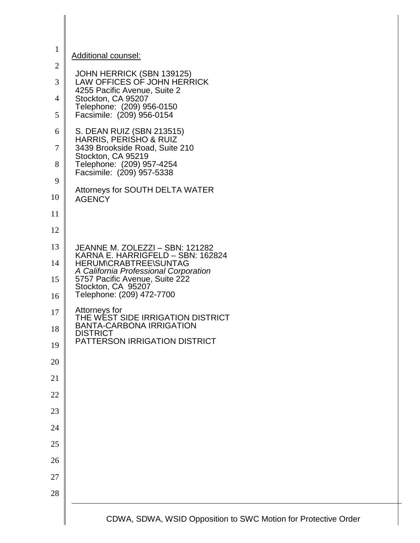| $\mathbf{1}$   | <b>Additional counsel:</b>                                            |
|----------------|-----------------------------------------------------------------------|
| $\mathfrak{2}$ |                                                                       |
| 3              | JOHN HERRICK (SBN 139125)<br>LAW OFFICES OF JOHN HERRICK              |
| $\overline{4}$ | 4255 Pacific Avenue, Suite 2<br>Stockton, CA 95207                    |
| 5              | Telephone: (209) 956-0150<br>Facsimile: (209) 956-0154                |
| 6              | S. DEAN RUIZ (SBN 213515)                                             |
| 7              | HARRIS, PERISHO & RUIZ<br>3439 Brookside Road, Suite 210              |
| 8              | Stockton, CA 95219<br>Telephone: (209) 957-4254                       |
| 9              | Facsimile: (209) 957-5338                                             |
| 10             | Attorneys for SOUTH DELTA WATER<br><b>AGENCY</b>                      |
| 11             |                                                                       |
| 12             |                                                                       |
| 13             | JEANNE M. ZOLEZZI - SBN: 121282<br>KARNA E. HARRIGFELD - SBN: 162824  |
| 14             | <b>HERUM\CRABTREE\SUNTAG</b><br>A California Professional Corporation |
| 15             | 5757 Pacific Avenue, Suite 222<br>Stockton, CA 95207                  |
| 16             | Telephone: (209) 472-7700                                             |
| 17             | Attorneys for<br>THE WEST SIDE IRRIGATION DISTRICT                    |
| 18             | <b>BANTA-CARBONA IRRIGATION</b><br><b>DISTRICT</b>                    |
| 19             | PATTERSON IRRIGATION DISTRICT                                         |
| 20             |                                                                       |
| 21             |                                                                       |
| 22             |                                                                       |
| 23             |                                                                       |
| 24             |                                                                       |
| 25             |                                                                       |
| 26             |                                                                       |
| 27             |                                                                       |
| 28             |                                                                       |
|                | CDWA, SDWA, WSID Opposition to SWC Motion for Protective Order        |

I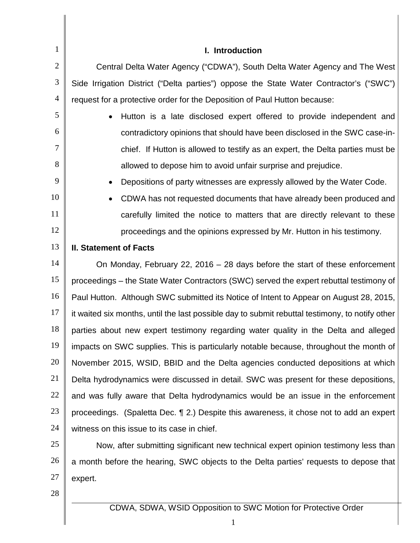| 1              | I. Introduction                                                                                 |  |
|----------------|-------------------------------------------------------------------------------------------------|--|
| $\overline{2}$ | Central Delta Water Agency ("CDWA"), South Delta Water Agency and The West                      |  |
| 3              | Side Irrigation District ("Delta parties") oppose the State Water Contractor's ("SWC")          |  |
| 4              | request for a protective order for the Deposition of Paul Hutton because:                       |  |
| 5              | Hutton is a late disclosed expert offered to provide independent and                            |  |
| 6              | contradictory opinions that should have been disclosed in the SWC case-in-                      |  |
| 7              | chief. If Hutton is allowed to testify as an expert, the Delta parties must be                  |  |
| 8              | allowed to depose him to avoid unfair surprise and prejudice.                                   |  |
| 9              | Depositions of party witnesses are expressly allowed by the Water Code.                         |  |
| 10             | CDWA has not requested documents that have already been produced and<br>$\bullet$               |  |
| 11             | carefully limited the notice to matters that are directly relevant to these                     |  |
| 12             | proceedings and the opinions expressed by Mr. Hutton in his testimony.                          |  |
| 13             | <b>II. Statement of Facts</b>                                                                   |  |
| 14             | On Monday, February 22, 2016 $-$ 28 days before the start of these enforcement                  |  |
| 15             | proceedings – the State Water Contractors (SWC) served the expert rebuttal testimony of         |  |
| 16             | Paul Hutton. Although SWC submitted its Notice of Intent to Appear on August 28, 2015,          |  |
| 17             | it waited six months, until the last possible day to submit rebuttal testimony, to notify other |  |
| 18             | parties about new expert testimony regarding water quality in the Delta and alleged             |  |
| 19             | impacts on SWC supplies. This is particularly notable because, throughout the month of          |  |
| 20             | November 2015, WSID, BBID and the Delta agencies conducted depositions at which                 |  |
| 21             | Delta hydrodynamics were discussed in detail. SWC was present for these depositions,            |  |
| 22             | and was fully aware that Delta hydrodynamics would be an issue in the enforcement               |  |
| 23             | proceedings. (Spaletta Dec. 1 2.) Despite this awareness, it chose not to add an expert         |  |
| 24             | witness on this issue to its case in chief.                                                     |  |
| 25             | Now, after submitting significant new technical expert opinion testimony less than              |  |
| 26             | a month before the hearing, SWC objects to the Delta parties' requests to depose that           |  |
| 27             | expert.                                                                                         |  |
| 28             |                                                                                                 |  |
|                | CDWA, SDWA, WSID Opposition to SWC Motion for Protective Order                                  |  |
|                | $\mathbf{1}$                                                                                    |  |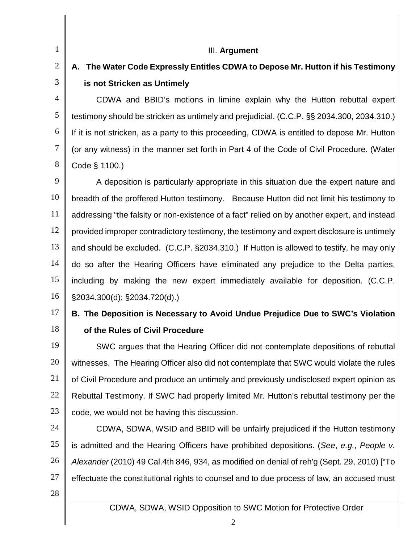1 2

3

4

5

6

7

8

#### III. **Argument**

# **A. The Water Code Expressly Entitles CDWA to Depose Mr. Hutton if his Testimony is not Stricken as Untimely**

CDWA and BBID's motions in limine explain why the Hutton rebuttal expert testimony should be stricken as untimely and prejudicial. (C.C.P. §§ 2034.300, 2034.310.) If it is not stricken, as a party to this proceeding, CDWA is entitled to depose Mr. Hutton (or any witness) in the manner set forth in Part 4 of the Code of Civil Procedure. (Water Code § 1100.)

9 10 11 12 13 14 15 16 A deposition is particularly appropriate in this situation due the expert nature and breadth of the proffered Hutton testimony. Because Hutton did not limit his testimony to addressing "the falsity or non-existence of a fact" relied on by another expert, and instead provided improper contradictory testimony, the testimony and expert disclosure is untimely and should be excluded. (C.C.P. §2034.310.) If Hutton is allowed to testify, he may only do so after the Hearing Officers have eliminated any prejudice to the Delta parties, including by making the new expert immediately available for deposition. (C.C.P. §2034.300(d); §2034.720(d).)

#### 17 18 **B. The Deposition is Necessary to Avoid Undue Prejudice Due to SWC's Violation of the Rules of Civil Procedure**

19 20 21 22 23 SWC argues that the Hearing Officer did not contemplate depositions of rebuttal witnesses. The Hearing Officer also did not contemplate that SWC would violate the rules of Civil Procedure and produce an untimely and previously undisclosed expert opinion as Rebuttal Testimony. If SWC had properly limited Mr. Hutton's rebuttal testimony per the code, we would not be having this discussion.

24 25 26 27 CDWA, SDWA, WSID and BBID will be unfairly prejudiced if the Hutton testimony is admitted and the Hearing Officers have prohibited depositions. (*See*, *e.g.*, *People v. Alexander* (2010) 49 Cal.4th 846, 934, as modified on denial of reh'g (Sept. 29, 2010) ["To effectuate the constitutional rights to counsel and to due process of law, an accused must

28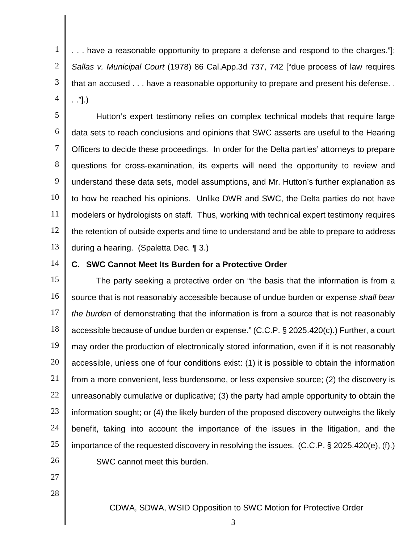1 2 3 4 . . . have a reasonable opportunity to prepare a defense and respond to the charges."]; *Sallas v. Municipal Court* (1978) 86 Cal.App.3d 737, 742 ["due process of law requires that an accused . . . have a reasonable opportunity to prepare and present his defense. . . ."].)

5 6 7 8 9 10 11 12 13 Hutton's expert testimony relies on complex technical models that require large data sets to reach conclusions and opinions that SWC asserts are useful to the Hearing Officers to decide these proceedings. In order for the Delta parties' attorneys to prepare questions for cross-examination, its experts will need the opportunity to review and understand these data sets, model assumptions, and Mr. Hutton's further explanation as to how he reached his opinions. Unlike DWR and SWC, the Delta parties do not have modelers or hydrologists on staff. Thus, working with technical expert testimony requires the retention of outside experts and time to understand and be able to prepare to address during a hearing. (Spaletta Dec. ¶ 3.)

14

#### **C. SWC Cannot Meet Its Burden for a Protective Order**

15 16 17 18 19 20 21 22 23 24 25 26 The party seeking a protective order on "the basis that the information is from a source that is not reasonably accessible because of undue burden or expense *shall bear the burden* of demonstrating that the information is from a source that is not reasonably accessible because of undue burden or expense." (C.C.P. § 2025.420(c).) Further, a court may order the production of electronically stored information, even if it is not reasonably accessible, unless one of four conditions exist: (1) it is possible to obtain the information from a more convenient, less burdensome, or less expensive source; (2) the discovery is unreasonably cumulative or duplicative; (3) the party had ample opportunity to obtain the information sought; or (4) the likely burden of the proposed discovery outweighs the likely benefit, taking into account the importance of the issues in the litigation, and the importance of the requested discovery in resolving the issues. (C.C.P. § 2025.420(e), (f).) SWC cannot meet this burden.

- 27
- 28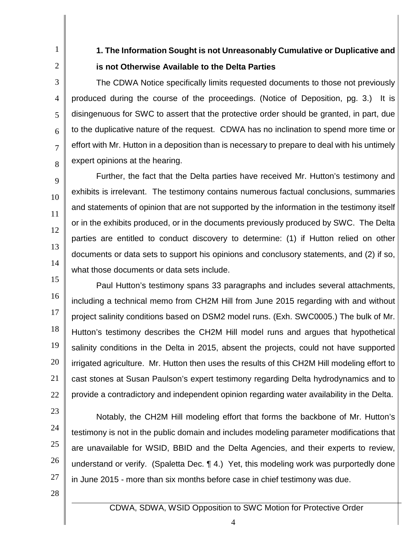2

3

4

5

6

7

8

9

10

11

12

13

14

1

# **1. The Information Sought is not Unreasonably Cumulative or Duplicative and is not Otherwise Available to the Delta Parties**

The CDWA Notice specifically limits requested documents to those not previously produced during the course of the proceedings. (Notice of Deposition, pg. 3.) It is disingenuous for SWC to assert that the protective order should be granted, in part, due to the duplicative nature of the request. CDWA has no inclination to spend more time or effort with Mr. Hutton in a deposition than is necessary to prepare to deal with his untimely expert opinions at the hearing.

Further, the fact that the Delta parties have received Mr. Hutton's testimony and exhibits is irrelevant. The testimony contains numerous factual conclusions, summaries and statements of opinion that are not supported by the information in the testimony itself or in the exhibits produced, or in the documents previously produced by SWC. The Delta parties are entitled to conduct discovery to determine: (1) if Hutton relied on other documents or data sets to support his opinions and conclusory statements, and (2) if so, what those documents or data sets include.

15 16 17 18 19 20 21 22 Paul Hutton's testimony spans 33 paragraphs and includes several attachments, including a technical memo from CH2M Hill from June 2015 regarding with and without project salinity conditions based on DSM2 model runs. (Exh. SWC0005.) The bulk of Mr. Hutton's testimony describes the CH2M Hill model runs and argues that hypothetical salinity conditions in the Delta in 2015, absent the projects, could not have supported irrigated agriculture. Mr. Hutton then uses the results of this CH2M Hill modeling effort to cast stones at Susan Paulson's expert testimony regarding Delta hydrodynamics and to provide a contradictory and independent opinion regarding water availability in the Delta.

- 23
- 24

25

26

27

Notably, the CH2M Hill modeling effort that forms the backbone of Mr. Hutton's testimony is not in the public domain and includes modeling parameter modifications that are unavailable for WSID, BBID and the Delta Agencies, and their experts to review, understand or verify. (Spaletta Dec. ¶ 4.) Yet, this modeling work was purportedly done in June 2015 - more than six months before case in chief testimony was due.

28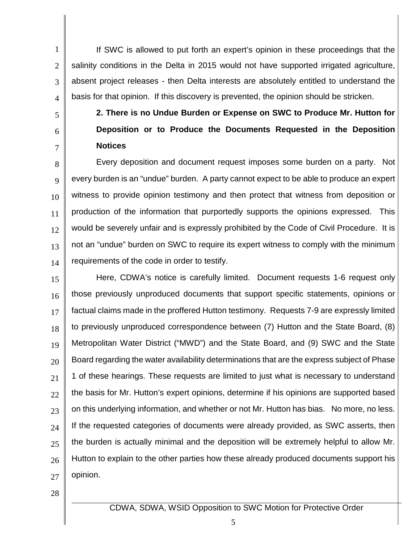1 2 3 4 If SWC is allowed to put forth an expert's opinion in these proceedings that the salinity conditions in the Delta in 2015 would not have supported irrigated agriculture, absent project releases - then Delta interests are absolutely entitled to understand the basis for that opinion. If this discovery is prevented, the opinion should be stricken.

- 5 6
- 7

**2. There is no Undue Burden or Expense on SWC to Produce Mr. Hutton for Deposition or to Produce the Documents Requested in the Deposition Notices**

8 9 10 11 12 13 14 Every deposition and document request imposes some burden on a party. Not every burden is an "undue" burden. A party cannot expect to be able to produce an expert witness to provide opinion testimony and then protect that witness from deposition or production of the information that purportedly supports the opinions expressed. This would be severely unfair and is expressly prohibited by the Code of Civil Procedure. It is not an "undue" burden on SWC to require its expert witness to comply with the minimum requirements of the code in order to testify.

15 16 17 18 19 20 21 22 23 24 25 26 27 Here, CDWA's notice is carefully limited. Document requests 1-6 request only those previously unproduced documents that support specific statements, opinions or factual claims made in the proffered Hutton testimony. Requests 7-9 are expressly limited to previously unproduced correspondence between (7) Hutton and the State Board, (8) Metropolitan Water District ("MWD") and the State Board, and (9) SWC and the State Board regarding the water availability determinations that are the express subject of Phase 1 of these hearings. These requests are limited to just what is necessary to understand the basis for Mr. Hutton's expert opinions, determine if his opinions are supported based on this underlying information, and whether or not Mr. Hutton has bias. No more, no less. If the requested categories of documents were already provided, as SWC asserts, then the burden is actually minimal and the deposition will be extremely helpful to allow Mr. Hutton to explain to the other parties how these already produced documents support his opinion.

28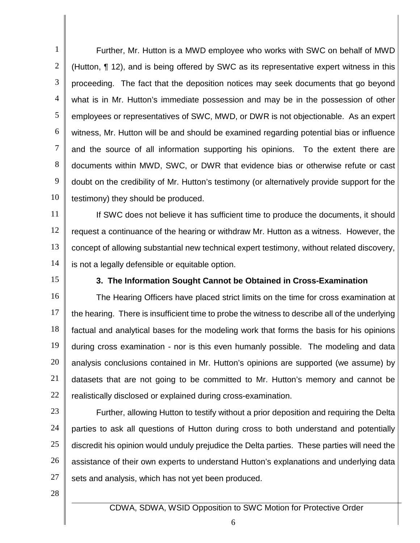1 2 3 4 5 6 7 8 9 10 Further, Mr. Hutton is a MWD employee who works with SWC on behalf of MWD (Hutton, ¶ 12), and is being offered by SWC as its representative expert witness in this proceeding. The fact that the deposition notices may seek documents that go beyond what is in Mr. Hutton's immediate possession and may be in the possession of other employees or representatives of SWC, MWD, or DWR is not objectionable. As an expert witness, Mr. Hutton will be and should be examined regarding potential bias or influence and the source of all information supporting his opinions. To the extent there are documents within MWD, SWC, or DWR that evidence bias or otherwise refute or cast doubt on the credibility of Mr. Hutton's testimony (or alternatively provide support for the testimony) they should be produced.

11 12 13 14 If SWC does not believe it has sufficient time to produce the documents, it should request a continuance of the hearing or withdraw Mr. Hutton as a witness. However, the concept of allowing substantial new technical expert testimony, without related discovery, is not a legally defensible or equitable option.

15

#### **3. The Information Sought Cannot be Obtained in Cross-Examination**

16 17 18 19 20 21 22 The Hearing Officers have placed strict limits on the time for cross examination at the hearing. There is insufficient time to probe the witness to describe all of the underlying factual and analytical bases for the modeling work that forms the basis for his opinions during cross examination - nor is this even humanly possible. The modeling and data analysis conclusions contained in Mr. Hutton's opinions are supported (we assume) by datasets that are not going to be committed to Mr. Hutton's memory and cannot be realistically disclosed or explained during cross-examination.

23

24 25 26 27 Further, allowing Hutton to testify without a prior deposition and requiring the Delta parties to ask all questions of Hutton during cross to both understand and potentially discredit his opinion would unduly prejudice the Delta parties. These parties will need the assistance of their own experts to understand Hutton's explanations and underlying data sets and analysis, which has not yet been produced.

28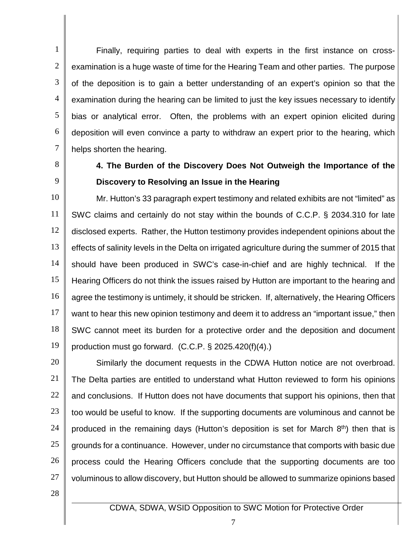1 2 3 4 5 6 7 Finally, requiring parties to deal with experts in the first instance on crossexamination is a huge waste of time for the Hearing Team and other parties. The purpose of the deposition is to gain a better understanding of an expert's opinion so that the examination during the hearing can be limited to just the key issues necessary to identify bias or analytical error. Often, the problems with an expert opinion elicited during deposition will even convince a party to withdraw an expert prior to the hearing, which helps shorten the hearing.

- 8
- 9

### **4. The Burden of the Discovery Does Not Outweigh the Importance of the Discovery to Resolving an Issue in the Hearing**

10 11 12 13 14 15 16 17 18 19 Mr. Hutton's 33 paragraph expert testimony and related exhibits are not "limited" as SWC claims and certainly do not stay within the bounds of C.C.P. § 2034.310 for late disclosed experts. Rather, the Hutton testimony provides independent opinions about the effects of salinity levels in the Delta on irrigated agriculture during the summer of 2015 that should have been produced in SWC's case-in-chief and are highly technical. If the Hearing Officers do not think the issues raised by Hutton are important to the hearing and agree the testimony is untimely, it should be stricken. If, alternatively, the Hearing Officers want to hear this new opinion testimony and deem it to address an "important issue," then SWC cannot meet its burden for a protective order and the deposition and document production must go forward. (C.C.P. § 2025.420(f)(4).)

20 21 22 23 24 25 26 27 Similarly the document requests in the CDWA Hutton notice are not overbroad. The Delta parties are entitled to understand what Hutton reviewed to form his opinions and conclusions. If Hutton does not have documents that support his opinions, then that too would be useful to know. If the supporting documents are voluminous and cannot be produced in the remaining days (Hutton's deposition is set for March 8<sup>th</sup>) then that is grounds for a continuance. However, under no circumstance that comports with basic due process could the Hearing Officers conclude that the supporting documents are too voluminous to allow discovery, but Hutton should be allowed to summarize opinions based

28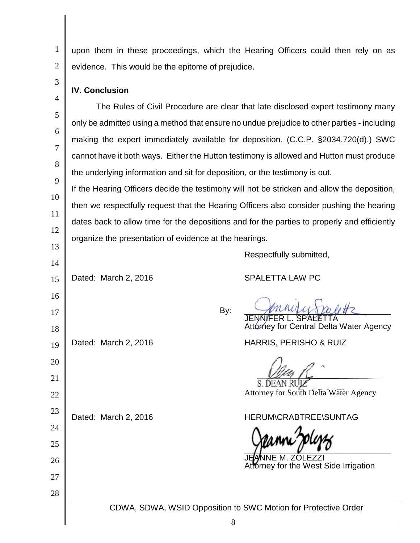1 2 upon them in these proceedings, which the Hearing Officers could then rely on as evidence. This would be the epitome of prejudice.

### **IV. Conclusion**

3

4

5

6

7

8

9

13

14

16

17

18

19

20

21

22

23

24

25

26

27

28

The Rules of Civil Procedure are clear that late disclosed expert testimony many only be admitted using a method that ensure no undue prejudice to other parties - including making the expert immediately available for deposition. (C.C.P. §2034.720(d).) SWC cannot have it both ways. Either the Hutton testimony is allowed and Hutton must produce the underlying information and sit for deposition, or the testimony is out.

10 11 12 If the Hearing Officers decide the testimony will not be stricken and allow the deposition, then we respectfully request that the Hearing Officers also consider pushing the hearing dates back to allow time for the depositions and for the parties to properly and efficiently organize the presentation of evidence at the hearings.

Respectfully submitted,

15 Dated: March 2, 2016 SPALETTA LAW PC

١ By:  $\sqrt{\mu}u$  $\mu} \sqrt{\mu}u \pi$ 

JENNIFER L. SPALETTA Attorney for Central Delta Water Agency

Dated: March 2, 2016 **HARRIS, PERISHO & RUIZ** 

Attorney for South Delta Water Agency

### Dated: March 2, 2016 **HERUM\CRABTREE\SUNTAG**

 $\sqrt{r}$   $\sqrt{v}$ 

ZOLEZZI **torney for the West Side Irrigation**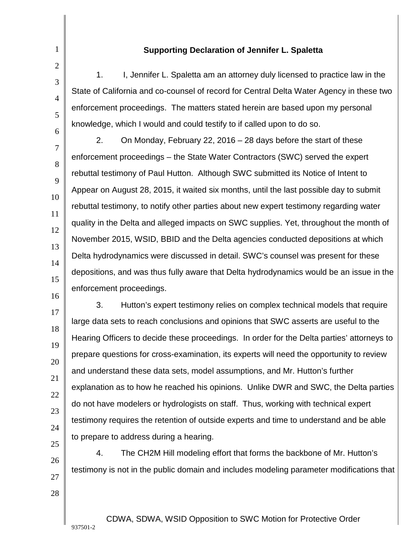#### **Supporting Declaration of Jennifer L. Spaletta**

10

11

12

13

14

15

16

1

2

1. I, Jennifer L. Spaletta am an attorney duly licensed to practice law in the State of California and co-counsel of record for Central Delta Water Agency in these two enforcement proceedings. The matters stated herein are based upon my personal knowledge, which I would and could testify to if called upon to do so.

2. On Monday, February 22, 2016 – 28 days before the start of these enforcement proceedings – the State Water Contractors (SWC) served the expert rebuttal testimony of Paul Hutton. Although SWC submitted its Notice of Intent to Appear on August 28, 2015, it waited six months, until the last possible day to submit rebuttal testimony, to notify other parties about new expert testimony regarding water quality in the Delta and alleged impacts on SWC supplies. Yet, throughout the month of November 2015, WSID, BBID and the Delta agencies conducted depositions at which Delta hydrodynamics were discussed in detail. SWC's counsel was present for these depositions, and was thus fully aware that Delta hydrodynamics would be an issue in the enforcement proceedings.

17 18 19 20 21 22 23 24 3. Hutton's expert testimony relies on complex technical models that require large data sets to reach conclusions and opinions that SWC asserts are useful to the Hearing Officers to decide these proceedings. In order for the Delta parties' attorneys to prepare questions for cross-examination, its experts will need the opportunity to review and understand these data sets, model assumptions, and Mr. Hutton's further explanation as to how he reached his opinions. Unlike DWR and SWC, the Delta parties do not have modelers or hydrologists on staff. Thus, working with technical expert testimony requires the retention of outside experts and time to understand and be able to prepare to address during a hearing.

25 26

4. The CH2M Hill modeling effort that forms the backbone of Mr. Hutton's testimony is not in the public domain and includes modeling parameter modifications that

28

27